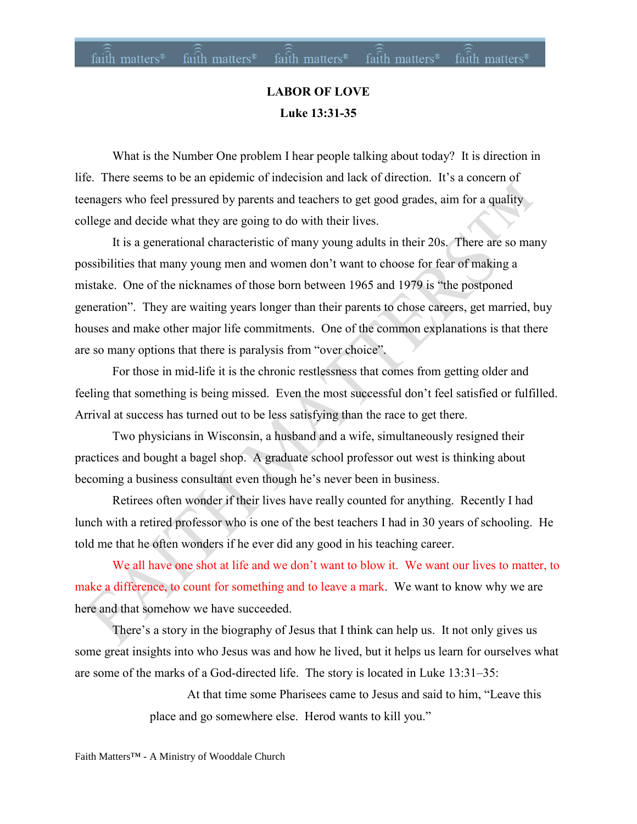# **LABOR OF LOVE Luke 13:31-35**

What is the Number One problem I hear people talking about today? It is direction in life. There seems to be an epidemic of indecision and lack of direction. It's a concern of teenagers who feel pressured by parents and teachers to get good grades, aim for a quality college and decide what they are going to do with their lives.

It is a generational characteristic of many young adults in their 20s. There are so many possibilities that many young men and women don't want to choose for fear of making a mistake. One of the nicknames of those born between 1965 and 1979 is "the postponed generation". They are waiting years longer than their parents to chose careers, get married, buy houses and make other major life commitments. One of the common explanations is that there are so many options that there is paralysis from "over choice".

For those in mid-life it is the chronic restlessness that comes from getting older and feeling that something is being missed. Even the most successful don't feel satisfied or fulfilled. Arrival at success has turned out to be less satisfying than the race to get there.

Two physicians in Wisconsin, a husband and a wife, simultaneously resigned their practices and bought a bagel shop. A graduate school professor out west is thinking about becoming a business consultant even though he's never been in business.

Retirees often wonder if their lives have really counted for anything. Recently I had lunch with a retired professor who is one of the best teachers I had in 30 years of schooling. He told me that he often wonders if he ever did any good in his teaching career.

We all have one shot at life and we don't want to blow it. We want our lives to matter, to make a difference, to count for something and to leave a mark. We want to know why we are here and that somehow we have succeeded.

There's a story in the biography of Jesus that I think can help us. It not only gives us some great insights into who Jesus was and how he lived, but it helps us learn for ourselves what are some of the marks of a God-directed life. The story is located in Luke 13:31–35:

> At that time some Pharisees came to Jesus and said to him, "Leave this place and go somewhere else. Herod wants to kill you."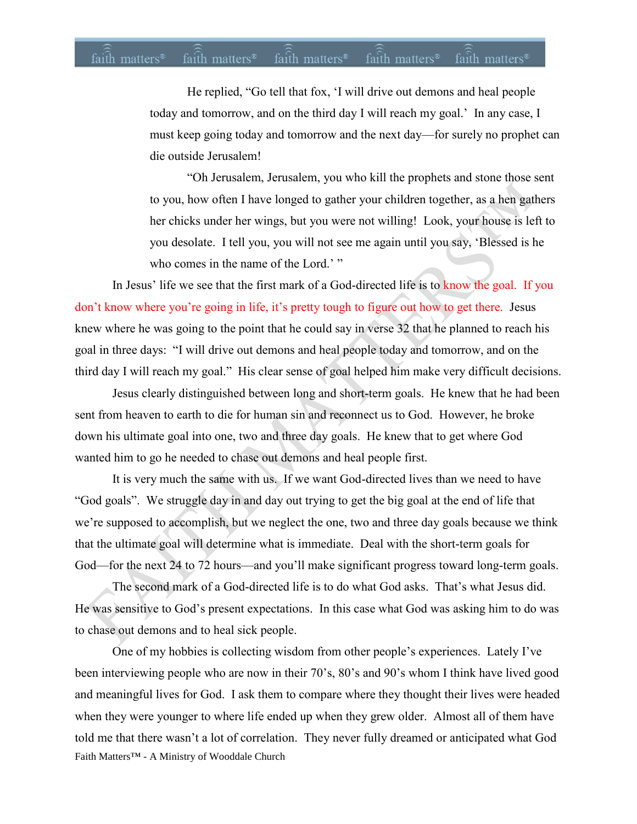### $fa$ ith matters<sup>®</sup> faith matters<sup>®</sup> faith matters® faith matters<sup>®</sup> faith matters<sup>®</sup>

He replied, "Go tell that fox, 'I will drive out demons and heal people today and tomorrow, and on the third day I will reach my goal.' In any case, I must keep going today and tomorrow and the next day—for surely no prophet can die outside Jerusalem!

"Oh Jerusalem, Jerusalem, you who kill the prophets and stone those sent to you, how often I have longed to gather your children together, as a hen gathers her chicks under her wings, but you were not willing! Look, your house is left to you desolate. I tell you, you will not see me again until you say, 'Blessed is he who comes in the name of the Lord.' "

In Jesus' life we see that the first mark of a God-directed life is to know the goal. If you don't know where you're going in life, it's pretty tough to figure out how to get there. Jesus knew where he was going to the point that he could say in verse 32 that he planned to reach his goal in three days: "I will drive out demons and heal people today and tomorrow, and on the third day I will reach my goal." His clear sense of goal helped him make very difficult decisions.

Jesus clearly distinguished between long and short-term goals. He knew that he had been sent from heaven to earth to die for human sin and reconnect us to God. However, he broke down his ultimate goal into one, two and three day goals. He knew that to get where God wanted him to go he needed to chase out demons and heal people first.

It is very much the same with us. If we want God-directed lives than we need to have "God goals". We struggle day in and day out trying to get the big goal at the end of life that we're supposed to accomplish, but we neglect the one, two and three day goals because we think that the ultimate goal will determine what is immediate. Deal with the short-term goals for God—for the next 24 to 72 hours—and you'll make significant progress toward long-term goals.

The second mark of a God-directed life is to do what God asks. That's what Jesus did. He was sensitive to God's present expectations. In this case what God was asking him to do was to chase out demons and to heal sick people.

Faith Matters™ - A Ministry of Wooddale Church One of my hobbies is collecting wisdom from other people's experiences. Lately I've been interviewing people who are now in their 70's, 80's and 90's whom I think have lived good and meaningful lives for God. I ask them to compare where they thought their lives were headed when they were younger to where life ended up when they grew older. Almost all of them have told me that there wasn't a lot of correlation. They never fully dreamed or anticipated what God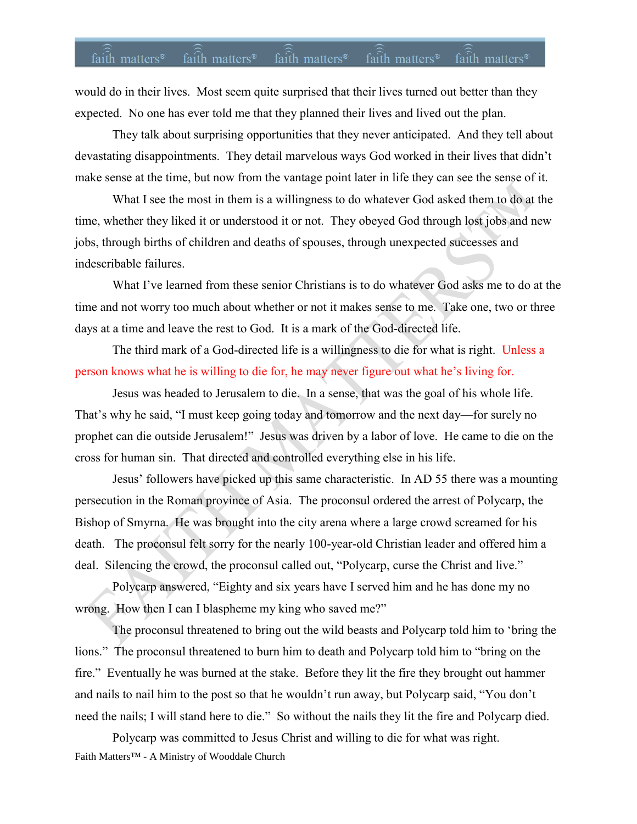## faith matters<sup>®</sup> faith matters<sup>®</sup> faith matters<sup>®</sup> faith matters<sup>®</sup> faith matters<sup>®</sup>

would do in their lives. Most seem quite surprised that their lives turned out better than they expected. No one has ever told me that they planned their lives and lived out the plan.

They talk about surprising opportunities that they never anticipated. And they tell about devastating disappointments. They detail marvelous ways God worked in their lives that didn't make sense at the time, but now from the vantage point later in life they can see the sense of it.

What I see the most in them is a willingness to do whatever God asked them to do at the time, whether they liked it or understood it or not. They obeyed God through lost jobs and new jobs, through births of children and deaths of spouses, through unexpected successes and indescribable failures.

What I've learned from these senior Christians is to do whatever God asks me to do at the time and not worry too much about whether or not it makes sense to me. Take one, two or three days at a time and leave the rest to God. It is a mark of the God-directed life.

The third mark of a God-directed life is a willingness to die for what is right. Unless a person knows what he is willing to die for, he may never figure out what he's living for.

Jesus was headed to Jerusalem to die. In a sense, that was the goal of his whole life. That's why he said, "I must keep going today and tomorrow and the next day—for surely no prophet can die outside Jerusalem!" Jesus was driven by a labor of love. He came to die on the cross for human sin. That directed and controlled everything else in his life.

Jesus' followers have picked up this same characteristic. In AD 55 there was a mounting persecution in the Roman province of Asia. The proconsul ordered the arrest of Polycarp, the Bishop of Smyrna. He was brought into the city arena where a large crowd screamed for his death. The proconsul felt sorry for the nearly 100-year-old Christian leader and offered him a deal. Silencing the crowd, the proconsul called out, "Polycarp, curse the Christ and live."

Polycarp answered, "Eighty and six years have I served him and he has done my no wrong. How then I can I blaspheme my king who saved me?"

The proconsul threatened to bring out the wild beasts and Polycarp told him to 'bring the lions." The proconsul threatened to burn him to death and Polycarp told him to "bring on the fire." Eventually he was burned at the stake. Before they lit the fire they brought out hammer and nails to nail him to the post so that he wouldn't run away, but Polycarp said, "You don't need the nails; I will stand here to die." So without the nails they lit the fire and Polycarp died.

Faith Matters™ - A Ministry of Wooddale Church Polycarp was committed to Jesus Christ and willing to die for what was right.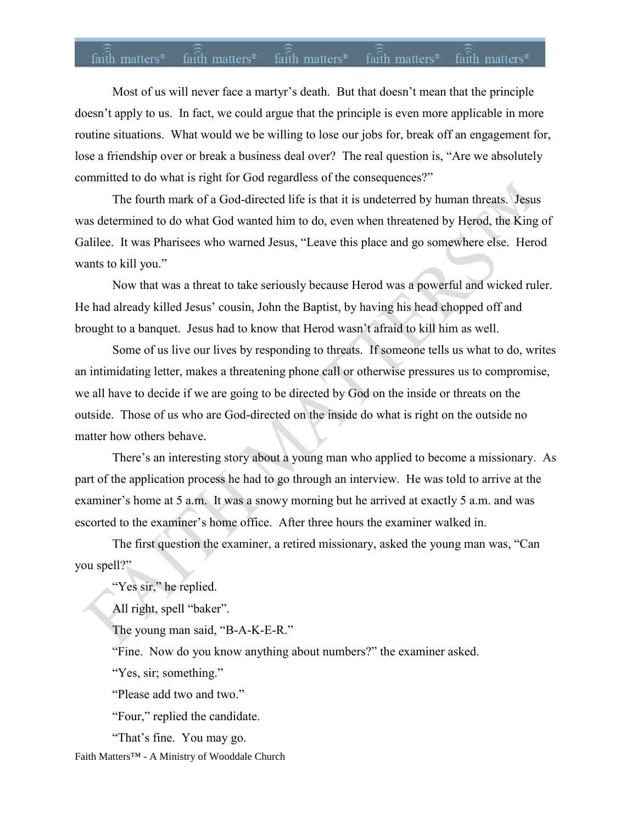## faith matters<sup>®</sup> faith matters<sup>®</sup> faith matters<sup>®</sup> faith matters<sup>®</sup> faith matters<sup>®</sup>

Most of us will never face a martyr's death. But that doesn't mean that the principle doesn't apply to us. In fact, we could argue that the principle is even more applicable in more routine situations. What would we be willing to lose our jobs for, break off an engagement for, lose a friendship over or break a business deal over? The real question is, "Are we absolutely committed to do what is right for God regardless of the consequences?"

The fourth mark of a God-directed life is that it is undeterred by human threats. Jesus was determined to do what God wanted him to do, even when threatened by Herod, the King of Galilee. It was Pharisees who warned Jesus, "Leave this place and go somewhere else. Herod wants to kill you."

Now that was a threat to take seriously because Herod was a powerful and wicked ruler. He had already killed Jesus' cousin, John the Baptist, by having his head chopped off and brought to a banquet. Jesus had to know that Herod wasn't afraid to kill him as well.

Some of us live our lives by responding to threats. If someone tells us what to do, writes an intimidating letter, makes a threatening phone call or otherwise pressures us to compromise, we all have to decide if we are going to be directed by God on the inside or threats on the outside. Those of us who are God-directed on the inside do what is right on the outside no matter how others behave.

There's an interesting story about a young man who applied to become a missionary. As part of the application process he had to go through an interview. He was told to arrive at the examiner's home at 5 a.m. It was a snowy morning but he arrived at exactly 5 a.m. and was escorted to the examiner's home office. After three hours the examiner walked in.

The first question the examiner, a retired missionary, asked the young man was, "Can you spell?"

"Yes sir," he replied.

All right, spell "baker".

The young man said, "B-A-K-E-R."

"Fine. Now do you know anything about numbers?" the examiner asked.

"Yes, sir; something."

"Please add two and two."

"Four," replied the candidate.

"That's fine. You may go.

Faith Matters™ - A Ministry of Wooddale Church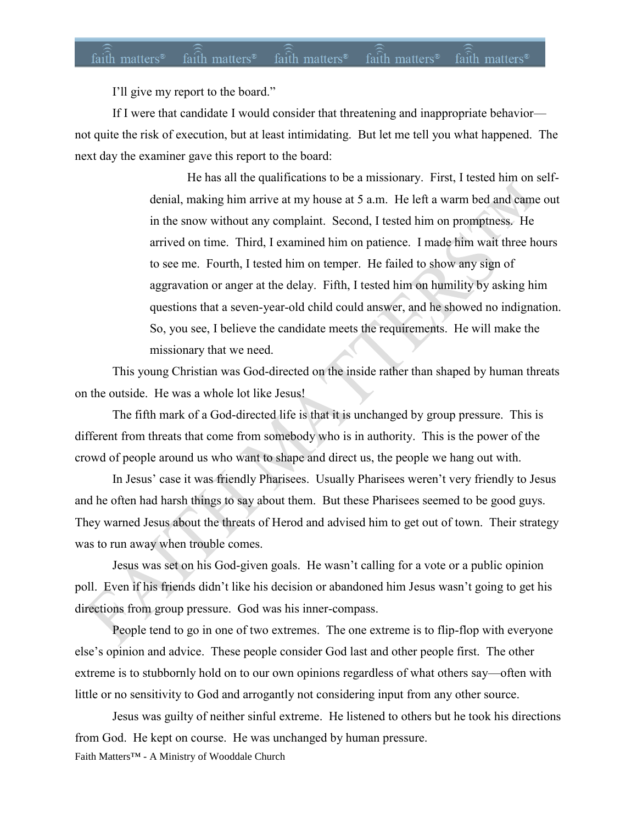### faith matters<sup>®</sup> faith matters<sup>®</sup> faith matters<sup>®</sup> faith matters<sup>®</sup> faith matters<sup>®</sup>

I'll give my report to the board."

If I were that candidate I would consider that threatening and inappropriate behavior not quite the risk of execution, but at least intimidating. But let me tell you what happened. The next day the examiner gave this report to the board:

> He has all the qualifications to be a missionary. First, I tested him on selfdenial, making him arrive at my house at 5 a.m. He left a warm bed and came out in the snow without any complaint. Second, I tested him on promptness. He arrived on time. Third, I examined him on patience. I made him wait three hours to see me. Fourth, I tested him on temper. He failed to show any sign of aggravation or anger at the delay. Fifth, I tested him on humility by asking him questions that a seven-year-old child could answer, and he showed no indignation. So, you see, I believe the candidate meets the requirements. He will make the missionary that we need.

This young Christian was God-directed on the inside rather than shaped by human threats on the outside. He was a whole lot like Jesus!

The fifth mark of a God-directed life is that it is unchanged by group pressure. This is different from threats that come from somebody who is in authority. This is the power of the crowd of people around us who want to shape and direct us, the people we hang out with.

In Jesus' case it was friendly Pharisees. Usually Pharisees weren't very friendly to Jesus and he often had harsh things to say about them. But these Pharisees seemed to be good guys. They warned Jesus about the threats of Herod and advised him to get out of town. Their strategy was to run away when trouble comes.

Jesus was set on his God-given goals. He wasn't calling for a vote or a public opinion poll. Even if his friends didn't like his decision or abandoned him Jesus wasn't going to get his directions from group pressure. God was his inner-compass.

People tend to go in one of two extremes. The one extreme is to flip-flop with everyone else's opinion and advice. These people consider God last and other people first. The other extreme is to stubbornly hold on to our own opinions regardless of what others say—often with little or no sensitivity to God and arrogantly not considering input from any other source.

Faith Matters™ - A Ministry of Wooddale Church Jesus was guilty of neither sinful extreme. He listened to others but he took his directions from God. He kept on course. He was unchanged by human pressure.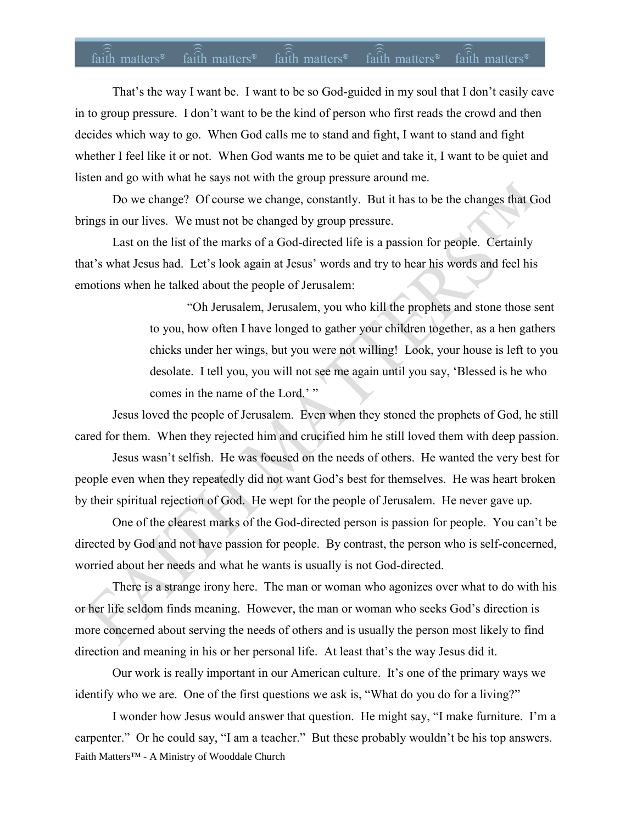## faith matters<sup>®</sup> faith matters<sup>®</sup> faith matters<sup>®</sup> faith matters<sup>®</sup> faith matters<sup>®</sup>

That's the way I want be. I want to be so God-guided in my soul that I don't easily cave in to group pressure. I don't want to be the kind of person who first reads the crowd and then decides which way to go. When God calls me to stand and fight, I want to stand and fight whether I feel like it or not. When God wants me to be quiet and take it, I want to be quiet and listen and go with what he says not with the group pressure around me.

Do we change? Of course we change, constantly. But it has to be the changes that God brings in our lives. We must not be changed by group pressure.

Last on the list of the marks of a God-directed life is a passion for people. Certainly that's what Jesus had. Let's look again at Jesus' words and try to hear his words and feel his emotions when he talked about the people of Jerusalem:

> "Oh Jerusalem, Jerusalem, you who kill the prophets and stone those sent to you, how often I have longed to gather your children together, as a hen gathers chicks under her wings, but you were not willing! Look, your house is left to you desolate. I tell you, you will not see me again until you say, 'Blessed is he who comes in the name of the Lord.' "

Jesus loved the people of Jerusalem. Even when they stoned the prophets of God, he still cared for them. When they rejected him and crucified him he still loved them with deep passion.

Jesus wasn't selfish. He was focused on the needs of others. He wanted the very best for people even when they repeatedly did not want God's best for themselves. He was heart broken by their spiritual rejection of God. He wept for the people of Jerusalem. He never gave up.

One of the clearest marks of the God-directed person is passion for people. You can't be directed by God and not have passion for people. By contrast, the person who is self-concerned, worried about her needs and what he wants is usually is not God-directed.

There is a strange irony here. The man or woman who agonizes over what to do with his or her life seldom finds meaning. However, the man or woman who seeks God's direction is more concerned about serving the needs of others and is usually the person most likely to find direction and meaning in his or her personal life. At least that's the way Jesus did it.

Our work is really important in our American culture. It's one of the primary ways we identify who we are. One of the first questions we ask is, "What do you do for a living?"

Faith Matters™ - A Ministry of Wooddale Church I wonder how Jesus would answer that question. He might say, "I make furniture. I'm a carpenter." Or he could say, "I am a teacher." But these probably wouldn't be his top answers.